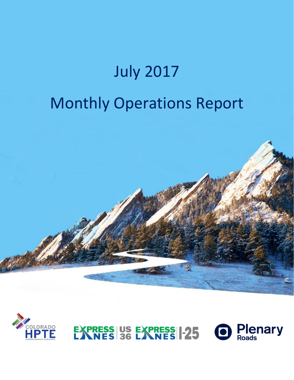# July 2017 Monthly Operations Report





**Plenary**<br>Roads **EXPRESS US EXPRESS 1-25**  $\blacksquare$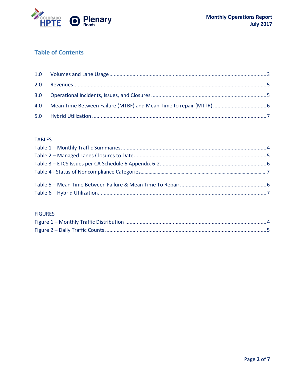

# **Table of Contents**

#### **TABLES**

#### **FIGURES**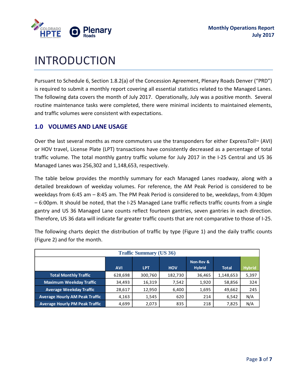

# INTRODUCTION

Pursuant to Schedule 6, Section 1.8.2(a) of the Concession Agreement, Plenary Roads Denver ("PRD") is required to submit a monthly report covering all essential statistics related to the Managed Lanes. The following data covers the month of July 2017. Operationally, July was a positive month. Several routine maintenance tasks were completed, there were minimal incidents to maintained elements, and traffic volumes were consistent with expectations.

### <span id="page-2-0"></span>**1.0 VOLUMES AND LANE USAGE**

Over the last several months as more commuters use the transponders for either ExpressToll<sup>M</sup> (AVI) or HOV travel, License Plate (LPT) transactions have consistently decreased as a percentage of total traffic volume. The total monthly gantry traffic volume for July 2017 in the I-25 Central and US 36 Managed Lanes was 256,302 and 1,148,653, respectively.

The table below provides the monthly summary for each Managed Lanes roadway, along with a detailed breakdown of weekday volumes. For reference, the AM Peak Period is considered to be weekdays from 6:45 am – 8:45 am. The PM Peak Period is considered to be, weekdays, from 4:30pm – 6:00pm. It should be noted, that the I-25 Managed Lane traffic reflects traffic counts from a single gantry and US 36 Managed Lane counts reflect fourteen gantries, seven gantries in each direction. Therefore, US 36 data will indicate far greater traffic counts that are not comparative to those of I-25.

|                                       | <b>Traffic Summary (US 36)</b> |            |            |                            |              |               |  |  |  |  |  |  |  |  |  |
|---------------------------------------|--------------------------------|------------|------------|----------------------------|--------------|---------------|--|--|--|--|--|--|--|--|--|
|                                       | <b>AVI</b>                     | <b>LPT</b> | <b>HOV</b> | Non-Rev &<br><b>Hybrid</b> | <b>Total</b> | <b>Hybrid</b> |  |  |  |  |  |  |  |  |  |
| <b>Total Monthly Traffic</b>          | 628,698                        | 300,760    | 182,730    | 36,465                     | 1,148,653    | 5,397         |  |  |  |  |  |  |  |  |  |
| <b>Maximum Weekday Traffic</b>        | 34,493                         | 16,319     | 7,542      | 1,920                      | 58,856       | 324           |  |  |  |  |  |  |  |  |  |
| <b>Average Weekday Traffic</b>        | 28,617                         | 12,950     | 6,400      | 1,695                      | 49,662       | 245           |  |  |  |  |  |  |  |  |  |
| <b>Average Hourly AM Peak Traffic</b> | 4,163                          | 1,545      | 620        | 214                        | 6,542        | N/A           |  |  |  |  |  |  |  |  |  |
| <b>Average Hourly PM Peak Traffic</b> | 4,699                          | 2,073      | 835        | 218                        | 7,825        | N/A           |  |  |  |  |  |  |  |  |  |

The following charts depict the distribution of traffic by type (Figure 1) and the daily traffic counts (Figure 2) and for the month.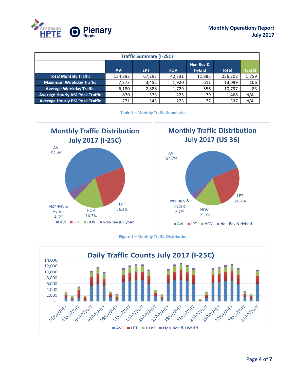

|                                       | <b>Traffic Summary (I-25C)</b> |            |            |                            |              |               |  |  |  |  |  |  |  |  |  |
|---------------------------------------|--------------------------------|------------|------------|----------------------------|--------------|---------------|--|--|--|--|--|--|--|--|--|
|                                       | <b>AVI</b>                     | <b>LPT</b> | <b>HOV</b> | Non-Rev &<br><b>Hybrid</b> | <b>Total</b> | <b>Hybrid</b> |  |  |  |  |  |  |  |  |  |
| <b>Total Monthly Traffic</b>          | 134,393                        | 67,293     | 42,731     | 11,885                     | 256,302      | 1,759         |  |  |  |  |  |  |  |  |  |
| <b>Maximum Weekday Traffic</b>        | 7,373                          | 3,452      | 1,920      | 611                        | 13.099       | 106           |  |  |  |  |  |  |  |  |  |
| <b>Average Weekday Traffic</b>        | 6,180                          | 2,888      | 1,729      | 556                        | 10,797       | 83            |  |  |  |  |  |  |  |  |  |
| <b>Average Hourly AM Peak Traffic</b> | 870                            | 373        | 225        | 79                         | 1,468        | N/A           |  |  |  |  |  |  |  |  |  |
| <b>Average Hourly PM Peak Traffic</b> | 771                            | 343        | 223        | 77                         | 1,337        | N/A           |  |  |  |  |  |  |  |  |  |

**Table 1 – Monthly Traffic Summaries**

<span id="page-3-0"></span>



**Figure 1 – Monthly Traffic Distribution**

<span id="page-3-1"></span>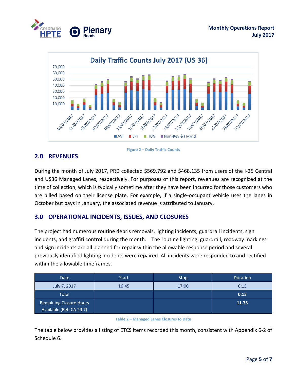



# <span id="page-4-3"></span><span id="page-4-0"></span>**2.0 REVENUES**



<span id="page-4-1"></span>During the month of July 2017, PRD collected \$569,792 and \$468,135 from users of the I-25 Central and US36 Managed Lanes, respectively. For purposes of this report, revenues are recognized at the time of collection, which is typically sometime after they have been incurred for those customers who are billed based on their license plate. For example, if a single-occupant vehicle uses the lanes in October but pays in January, the associated revenue is attributed to January.

### **3.0 OPERATIONAL INCIDENTS, ISSUES, AND CLOSURES**

The project had numerous routine debris removals, lighting incidents, guardrail incidents, sign incidents, and graffiti control during the month. The routine lighting, guardrail, roadway markings and sign incidents are all planned for repair within the allowable response period and several previously identified lighting incidents were repaired. All incidents were responded to and rectified within the allowable timeframes.

| Date                                                       | <b>Start</b> | Stop, | <b>Duration</b> |
|------------------------------------------------------------|--------------|-------|-----------------|
| July 7, 2017                                               | 16:45        | 17:00 | 0:15            |
| <b>Total</b>                                               |              |       | 0:15            |
| <b>Remaining Closure Hours</b><br>Available (Ref: CA 29.7) |              |       | 11.75           |

**Table 2 – Managed Lanes Closures to Date**

<span id="page-4-2"></span>The table below provides a listing of ETCS items recorded this month, consistent with Appendix 6-2 of Schedule 6.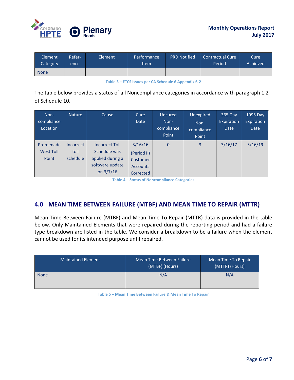

| Element.<br>Category | <b>Refer-</b><br>ence ' | Element | Performance<br><b>Item</b> | <b>PRD Notified</b> | <b>Contractual Cure</b><br>Period | Cure <sup>1</sup><br>Achieved |
|----------------------|-------------------------|---------|----------------------------|---------------------|-----------------------------------|-------------------------------|
| <b>None</b>          |                         |         |                            |                     |                                   |                               |

#### **Table 3 – ETCS Issues per CA Schedule 6 Appendix 6-2**

<span id="page-5-1"></span>The table below provides a status of all Noncompliance categories in accordance with paragraph 1.2 of Schedule 10.

| Non-<br>compliance<br>Location         | <b>Nature</b>                        | Cause                                                                                     | Cure<br>Date                                                       | Uncured<br>Non-<br>compliance<br>Point | Unexpired<br>Non-<br>compliance<br>Point | 365 Day<br>Expiration<br>Date | 1095 Day<br>Expiration<br><b>Date</b> |
|----------------------------------------|--------------------------------------|-------------------------------------------------------------------------------------------|--------------------------------------------------------------------|----------------------------------------|------------------------------------------|-------------------------------|---------------------------------------|
| Promenade<br><b>West Toll</b><br>Point | <b>Incorrect</b><br>toll<br>schedule | <b>Incorrect Toll</b><br>Schedule was<br>applied during a<br>software update<br>on 3/7/16 | 3/16/16<br>(Period II)<br>Customer<br><b>Accounts</b><br>Corrected | $\mathbf{0}$                           | 3                                        | 3/16/17                       | 3/16/19                               |

**Table 4 – Status of Noncompliance Categories**

## <span id="page-5-0"></span>**4.0 MEAN TIME BETWEEN FAILURE (MTBF) AND MEAN TIME TO REPAIR (MTTR)**

Mean Time Between Failure (MTBF) and Mean Time To Repair (MTTR) data is provided in the table below. Only Maintained Elements that were repaired during the reporting period and had a failure type breakdown are listed in the table. We consider a breakdown to be a failure when the element cannot be used for its intended purpose until repaired.

<span id="page-5-2"></span>

| <b>Maintained Element</b> | Mean Time Between Failure<br>(MTBF) (Hours) | Mean Time To Repair<br>(MTTR) (Hours) |
|---------------------------|---------------------------------------------|---------------------------------------|
| <b>None</b>               | N/A                                         | N/A                                   |

**Table 5 – Mean Time Between Failure & Mean Time To Repair**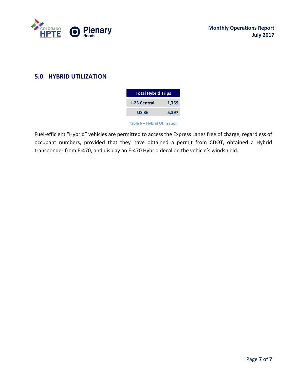

# <span id="page-6-0"></span>**5.0 HYBRID UTILIZATION**

| <b>Total Hybrid Trips</b> |       |  |  |  |  |  |  |  |  |
|---------------------------|-------|--|--|--|--|--|--|--|--|
| <b>I-25 Central</b>       | 1,759 |  |  |  |  |  |  |  |  |
| <b>US 36</b>              | 5,397 |  |  |  |  |  |  |  |  |

**Table 6 – Hybrid Utilization**

<span id="page-6-1"></span>Fuel-efficient "Hybrid" vehicles are permitted to access the Express Lanes free of charge, regardless of occupant numbers, provided that they have obtained a permit from CDOT, obtained a Hybrid transponder from E-470, and display an E-470 Hybrid decal on the vehicle's windshield.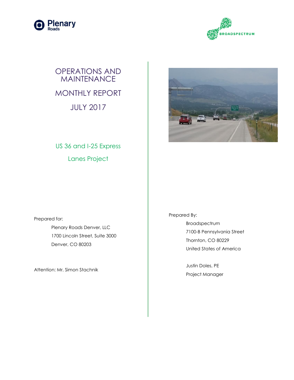



# OPERATIONS AND **MAINTENANCE** MONTHLY REPORT JULY 2017



US 36 and I-25 Express Lanes Project

Prepared for: Plenary Roads Denver, LLC 1700 Lincoln Street, Suite 3000 Denver, CO 80203

Attention: Mr. Simon Stachnik

Prepared By: Broadspectrum 7100-B Pennsylvania Street Thornton, CO 80229 United States of America

> Justin Doles, PE Project Manager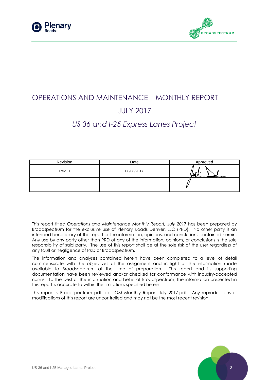



# OPERATIONS AND MAINTENANCE – MONTHLY REPORT JULY 2017 *US 36 and I-25 Express Lanes Project*

| Revision | Date       | Approved |
|----------|------------|----------|
| Rev. 0   | 08/08/2017 | הגוי     |
|          |            |          |

This report titled *Operations and Maintenance Monthly Report, July 2017* has been prepared by Broadspectrum for the exclusive use of Plenary Roads Denver, LLC (PRD). No other party is an intended beneficiary of this report or the information, opinions, and conclusions contained herein. Any use by any party other than PRD of any of the information, opinions, or conclusions is the sole responsibility of said party. The use of this report shall be at the sole risk of the user regardless of any fault or negligence of PRD or Broadspectrum.

The information and analyses contained herein have been completed to a level of detail commensurate with the objectives of the assignment and in light of the information made available to Broadspectrum at the time of preparation. This report and its supporting documentation have been reviewed and/or checked for conformance with industry-accepted norms. To the best of the information and belief of Broadspectrum, the information presented in this report is accurate to within the limitations specified herein.

This report is Broadspectrum pdf file: OM Monthly Report July 2017.pdf. Any reproductions or modifications of this report are uncontrolled and may not be the most recent revision.

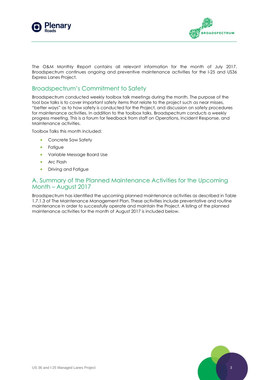



The O&M Monthly Report contains all relevant information for the month of July 2017. Broadspectrum continues ongoing and preventive maintenance activities for the I-25 and US36 Express Lanes Project.

## Broadspectrum's Commitment to Safety

Broadspectrum conducted weekly toolbox talk meetings during the month. The purpose of the tool box talks is to cover important safety items that relate to the project such as near misses, "better ways" as to how safety is conducted for the Project, and discussion on safety procedures for maintenance activities. In addition to the toolbox talks, Broadspectrum conducts a weekly progress meeting. This is a forum for feedback from staff on Operations, Incident Response, and Maintenance activities.

Toolbox Talks this month included:

- Concrete Saw Safety
- **•** Fatigue
- Variable Message Board Use
- **Arc Flash**
- **•** Driving and Fatigue

#### A. Summary of the Planned Maintenance Activities for the Upcoming Month – August 2017

Broadspectrum has identified the upcoming planned maintenance activities as described in Table 1.7.1.3 of The Maintenance Management Plan. These activities include preventative and routine maintenance in order to successfully operate and maintain the Project. A listing of the planned maintenance activities for the month of August 2017 is included below.

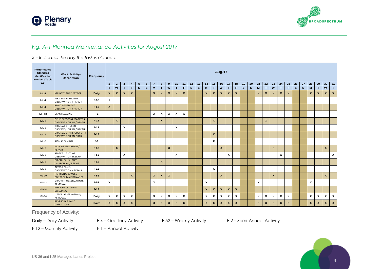



## *Fig. A-1 Planned Maintenance Activities for August 2017*

#### *X – Indicates the day the task is planned.*

| Performance<br><b>Standard</b><br>Identification<br><b>Number (Table</b> | <b>Work Activity-</b><br><b>Description</b>                         | <b>Frequency</b> | <b>Aug-17</b> |                           |                  |                           |                 |              |                |                           |                           |                    |              |              |          |                  |                           |                  |                  |                    |          |              |                  |              |                    |                    |                           |              |          |              |                  |              |                           |
|--------------------------------------------------------------------------|---------------------------------------------------------------------|------------------|---------------|---------------------------|------------------|---------------------------|-----------------|--------------|----------------|---------------------------|---------------------------|--------------------|--------------|--------------|----------|------------------|---------------------------|------------------|------------------|--------------------|----------|--------------|------------------|--------------|--------------------|--------------------|---------------------------|--------------|----------|--------------|------------------|--------------|---------------------------|
| 6.1)                                                                     |                                                                     |                  | 1             | $\overline{2}$            | $\mathbf{3}$     | $\overline{4}$            | $5\overline{5}$ | 6            | $\overline{7}$ | 8                         | 9                         | 10                 | 11           | 12           | 13       | 14               | 15                        | 16               | 17               | 18                 | 19       | 20           | 21               | 22           | 23                 | 24                 | 25                        | 26           | 27       | 28           | 29               | 30           | 31                        |
|                                                                          |                                                                     |                  | T             | W                         | T                | F                         | $\mathbf{s}$    | $\mathbf{s}$ | M              | T                         | W                         | T.                 | F.           | $\mathbf{s}$ | <b>S</b> | M                | T                         | W                | T                | F                  | <b>S</b> | $\mathbf{s}$ | M                | T            | W                  | T                  | E                         | $\mathbf{s}$ | <b>S</b> | M            | T                | W            | T                         |
| $ML-1$                                                                   | MAINTENANCE PATROL                                                  | <b>Daily</b>     | $\mathbf{x}$  | $\boldsymbol{\mathsf{x}}$ | $\mathbf{x}$     | $\pmb{\mathsf{x}}$        |                 |              | $\mathbf{x}$   | $\pmb{\mathsf{x}}$        | X                         | $\mathbf{x}$       | $\mathbf{x}$ |              |          | $\boldsymbol{x}$ | $\mathbf{x}$              | $\mathbf{x}$     | $\boldsymbol{x}$ | $\pmb{\mathsf{x}}$ |          |              | $\mathbf{x}$     | $\mathbf{x}$ | $\mathbf{x}$       | $\mathbf{x}$       | $\mathbf{x}$              |              |          | $\mathbf{x}$ | $\boldsymbol{x}$ | $\mathbf{x}$ | $\mathbf{x}$              |
| $ML-1$                                                                   | <b>FLEXIBLE PAVEMENT</b><br><b>OBSERVATION / REPAIR</b>             | F-52             | x             |                           |                  |                           |                 |              |                |                           |                           |                    |              |              |          |                  |                           |                  |                  |                    |          |              |                  |              |                    |                    |                           |              |          |              |                  |              |                           |
| $ML-1$                                                                   | RIGID PAVEMENT<br><b>OBSERVATION / REPAIR</b>                       | F-52             | $\mathbf{x}$  |                           |                  |                           |                 |              |                |                           |                           |                    |              |              |          |                  |                           |                  |                  |                    |          |              |                  |              |                    |                    |                           |              |          |              |                  |              |                           |
| $ML-10$                                                                  | <b>CRACK SEALING</b>                                                | F-1              |               |                           |                  |                           |                 |              | x              | $\boldsymbol{\mathsf{x}}$ | x                         | x                  | x            |              |          |                  |                           |                  |                  |                    |          |              |                  |              |                    |                    |                           |              |          |              |                  |              |                           |
| $ML-4$                                                                   | <b>DELINEATORS &amp; MARKERS</b><br><b>OBSERVE / CLEAN / REPAIR</b> | F-12             |               | $\mathbf{x}$              |                  |                           |                 |              |                | $\mathbf{x}$              |                           |                    |              |              |          |                  | $\mathbf{x}$              |                  |                  |                    |          |              |                  | $\mathbf{x}$ |                    |                    |                           |              |          |              |                  |              |                           |
| $ML-2$                                                                   | DRAINAGE (INLET)<br>OBSERVE/ CLEAN / REPAIR                         | $F-12$           |               |                           | $\mathsf{x}$     |                           |                 |              |                |                           |                           | x                  |              |              |          |                  |                           |                  |                  |                    |          |              |                  |              |                    |                    |                           |              |          |              |                  |              |                           |
| $ML-2$                                                                   | <b>DRAINAGE (PIPE/CULVERT)</b><br>OBSERVE / CLEAN / RPR             | F-12             |               |                           |                  |                           |                 |              |                |                           |                           |                    |              |              |          |                  | $\mathbf{x}$              |                  |                  |                    |          |              |                  |              |                    |                    |                           |              |          |              |                  |              |                           |
| $ML-6$                                                                   | <b>SIGN CLEANING</b>                                                | F-1              |               |                           |                  |                           |                 |              |                |                           |                           |                    |              |              |          |                  | $\boldsymbol{\mathsf{x}}$ |                  |                  |                    |          |              |                  |              |                    |                    |                           |              |          |              |                  |              |                           |
| $ML-6$                                                                   | SIGN OBSERVATION /<br><b>REPAIR</b>                                 | F-52             |               | $\boldsymbol{x}$          |                  |                           |                 |              |                |                           | $\boldsymbol{x}$          |                    |              |              |          |                  |                           | $\mathbf{x}$     |                  |                    |          |              |                  |              | $\pmb{\mathsf{x}}$ |                    |                           |              |          |              |                  | $\mathbf{x}$ |                           |
| $ML-8$                                                                   | <b>STREET LIGHTING</b><br><b>OBSERVATION / REPAIR</b>               | F-52             |               |                           | x                |                           |                 |              |                |                           |                           | x                  |              |              |          |                  |                           |                  | x                |                    |          |              |                  |              |                    | x                  |                           |              |          |              |                  |              | $\pmb{\chi}$              |
| $ML-8$                                                                   | <b>ELECTRICAL SUPPLY</b><br><b>INSPECTION / REPAIR</b>              | F-12             |               |                           |                  |                           |                 |              |                | $\mathbf{x}$              |                           |                    |              |              |          |                  |                           |                  |                  |                    |          |              |                  |              |                    |                    |                           |              |          |              |                  |              |                           |
| $ML-8$                                                                   | <b>ACCESS PANEL</b><br><b>OBSERVATION / REPAIR</b>                  | F-12             |               |                           |                  |                           |                 |              |                |                           |                           |                    |              |              |          |                  | $\boldsymbol{\mathsf{x}}$ |                  |                  |                    |          |              |                  |              |                    |                    |                           |              |          |              |                  |              |                           |
| $ML-10$                                                                  | <b>HERBICIDE &amp; WEED</b><br><b>CONTROL MAINTENANCE</b>           | F-52             |               |                           |                  | $\boldsymbol{x}$          |                 |              | $\mathbf{x}$   | $\boldsymbol{x}$          | $\boldsymbol{x}$          |                    |              |              |          |                  |                           | $\mathbf{x}$     |                  |                    |          |              |                  |              | $\pmb{\mathsf{x}}$ |                    |                           |              |          |              |                  | $\mathbf{x}$ |                           |
| ML-12                                                                    | <b>GRAFFITI OBSERVATION /</b><br>REMOVAL                            | F-52             | x             |                           |                  |                           |                 |              | x              |                           |                           |                    |              |              |          | x                |                           |                  |                  |                    |          |              | $\pmb{\chi}$     |              |                    |                    |                           |              |          | x            |                  |              |                           |
| $ML-14$                                                                  | <b>MECHANICAL ROAD</b><br><b>SWEEPING</b>                           | $F-12$           |               |                           |                  |                           |                 |              |                |                           |                           |                    |              |              |          | $\mathbf{x}$     | $\mathbf{x}$              | $\mathbf{x}$     | $\boldsymbol{x}$ | $\boldsymbol{x}$   |          |              |                  |              |                    |                    |                           |              |          |              |                  |              |                           |
| ML-14                                                                    | LITTER OBSERVATION /<br>REMOVAL                                     | Daily            | $\mathbf{x}$  | $\boldsymbol{\mathsf{x}}$ | x                | $\boldsymbol{\mathsf{x}}$ |                 |              | $\mathbf{x}$   | x                         | x                         | $\pmb{\mathsf{x}}$ | x            |              |          | x                | $\boldsymbol{\mathsf{x}}$ | $\mathbf{x}$     | x                | x                  |          |              | $\pmb{\chi}$     | $\pmb{\chi}$ | x                  | $\pmb{\mathsf{x}}$ | $\boldsymbol{\mathsf{x}}$ |              |          | x            | x                | X            | $\boldsymbol{\mathsf{x}}$ |
|                                                                          | <b>REVERSIBLE LANE</b><br><b>OPERATIONS</b>                         | <b>Daily</b>     | <b>X</b>      | $\mathbf{x}$              | $\boldsymbol{x}$ | $\boldsymbol{x}$          |                 |              | $\mathbf{x}$   | $\boldsymbol{\mathsf{x}}$ | $\boldsymbol{\mathsf{x}}$ | $\pmb{\mathsf{x}}$ | $\mathbf{x}$ |              |          | $\boldsymbol{x}$ | $\mathbf{x}$              | $\boldsymbol{x}$ | $\mathbf{x}$     | $\mathbf{x}$       |          |              | $\boldsymbol{x}$ | $\mathbf{x}$ | X                  | $\mathbf{x}$       | $\mathbf{x}$              |              |          | $\mathbf{x}$ | $\mathbf{x}$     | $\mathbf{x}$ | $\mathbf{x}$              |

Frequency of Activity:

Daily – Daily Activity F-4 – Quarterly Activity F-52 – Weekly Activity F-2 – Semi-Annual Activity

F-12 – Monthly Activity F-1 – Annual Activity

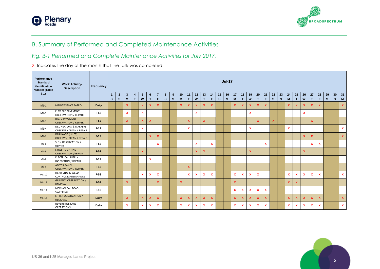



# B. Summary of Performed and Completed Maintenance Activities

### *Fig. B-1 Performed and Complete Maintenance Activities for July 2017,*

X Indicates the day of the month that the task was completed.

| Performance<br><b>Standard</b><br>Identification<br><b>Number (Table</b> | <b>Work Activity-</b><br><b>Description</b>                  | Frequency    | <b>Jul-17</b> |                |                  |                |                   |              |                |   |              |                   |                    |              |              |                           |              |              |                   |                           |              |          |               |              |    |                   |                   |              |                   |                    |    |              |                   |
|--------------------------------------------------------------------------|--------------------------------------------------------------|--------------|---------------|----------------|------------------|----------------|-------------------|--------------|----------------|---|--------------|-------------------|--------------------|--------------|--------------|---------------------------|--------------|--------------|-------------------|---------------------------|--------------|----------|---------------|--------------|----|-------------------|-------------------|--------------|-------------------|--------------------|----|--------------|-------------------|
| 6.1)                                                                     |                                                              |              | $\mathbf{1}$  | $\overline{2}$ | $\mathbf{3}$     | $\overline{4}$ | 5                 | 6            | $\overline{7}$ | 8 | 9            | 10                | 11                 | 12           | 13           | 14                        | 15           | 16           | 17                | 18                        | 19           | 20       | 21            | 22           | 23 | 24                | 25                | 26           | 27                | 28                 | 29 | $30 \mid 31$ |                   |
| $ML-1$                                                                   | <b>MAINTENANCE PATROL</b>                                    | Daily        | S.            | $\mathbf{s}$   | M<br>$\mathbf x$ | T.             | W<br>$\mathbf{x}$ | T<br>X       | F.<br>X.       | S | $\mathbf{s}$ | M<br>$\mathbf{x}$ | T.<br>$\mathbf{x}$ | W<br>x       | T<br>x       | F.<br>$\mathbf{x}$        | $\mathbf{s}$ | $\mathbf{s}$ | M<br>$\mathbf{x}$ | $\mathbf{T}$<br>X         | W<br>x       | т<br>X   | F<br><b>X</b> | $\mathbf{s}$ | S  | M<br>$\mathbf{x}$ | T<br>$\mathbf{x}$ | W<br>X       | T<br>$\mathbf{x}$ | F.<br>$\mathbf{x}$ | S  | S            | M<br>$\mathbf{x}$ |
| $ML-1$                                                                   | <b>FLEXIBLE PAVEMENT</b><br><b>OBSERVATION / REPAIR</b>      | $F-52$       |               |                | $\mathbf{x}$     |                | $\mathbf{x}$      |              |                |   |              |                   |                    | x            |              |                           |              |              |                   |                           | $\mathbf{x}$ |          |               |              |    |                   |                   | $\mathbf{x}$ |                   |                    |    |              |                   |
| $ML-1$                                                                   | RIGID PAVEMENT<br><b>OBSERVATION / REPAIR</b>                | $F-52$       |               |                | $\mathbf x$      |                | $\mathbf{x}$      | X            |                |   |              |                   | $\mathbf{x}$       |              | $\mathbf{x}$ |                           |              |              |                   |                           |              | <b>X</b> |               | $\mathbf{x}$ |    |                   |                   |              | $\mathbf{x}$      |                    |    |              |                   |
| $ML-4$                                                                   | <b>DELINEATORS &amp; MARKERS</b><br>OBSERVE / CLEAN / REPAIR | $F-12$       |               |                |                  |                | $\mathbf{x}$      |              |                |   |              |                   | $\mathbf{x}$       |              |              |                           |              |              |                   |                           | $\mathbf x$  |          |               |              |    | $\mathbf{x}$      |                   |              |                   |                    |    |              | $\mathbf{x}$      |
| $ML-2$                                                                   | <b>DRAINAGE (INLET)</b><br>OBSERVE/ CLEAN / REPAIR           | $F-12$       |               |                |                  |                |                   | X            | X.             |   |              |                   |                    |              |              |                           |              |              |                   |                           |              |          |               |              |    |                   |                   | $\mathbf{x}$ | $\mathbf{x}$      |                    |    |              | $\mathbf{x}$      |
| $ML-6$                                                                   | SIGN OBSERVATION /<br><b>REPAIR</b>                          | $F-52$       |               |                |                  |                |                   |              | $\mathbf{x}$   |   |              |                   |                    | x            |              | $\mathbf{x}$              |              |              |                   |                           |              |          | $\mathbf{x}$  |              |    |                   |                   |              | $\mathbf{x}$      | $\mathbf{x}$       |    |              |                   |
| $ML-8$                                                                   | <b>STREET LIGHTING</b><br><b>OBSERVATION /REPAIR</b>         | $F-52$       |               |                |                  |                | $\mathbf{x}$      |              |                |   |              |                   |                    | x            | $\mathbf{x}$ |                           |              |              |                   |                           | <b>X</b>     |          |               |              |    |                   |                   | $\mathbf x$  |                   |                    |    |              |                   |
| $ML-8$                                                                   | ELECTRICAL SUPPLY<br><b>INSPECTION / REPAIR</b>              | $F-12$       |               |                |                  |                |                   | X            |                |   |              |                   |                    |              |              |                           |              |              |                   |                           |              |          |               |              |    |                   |                   |              |                   |                    |    |              |                   |
| $ML-8$                                                                   | <b>ACCESS PANEL</b><br><b>OBSERVATION / REPAIR</b>           | $F-12$       |               |                |                  |                |                   |              |                |   |              |                   | $\mathbf{x}$       |              |              |                           |              |              |                   |                           |              |          |               |              |    |                   |                   |              |                   |                    |    |              |                   |
| ML-10                                                                    | <b>HERBICIDE &amp; WEED</b><br><b>CONTROL MAINTENANCE</b>    | $F-52$       |               |                |                  |                | $\mathbf{x}$      | $\mathbf{x}$ | $\mathbf{x}$   |   |              |                   | $\mathbf{x}$       | $\mathbf{x}$ | $\mathbf{x}$ | $\mathbf{x}$              |              |              | $\mathbf{x}$      | $\mathbf{x}$              | $\mathbf{x}$ | x        |               |              |    | $\mathbf{x}$      | $\mathbf{x}$      | $\mathbf{x}$ | $\mathbf{x}$      | $\mathbf{x}$       |    |              | $\mathbf{x}$      |
| $ML-12$                                                                  | <b>GRAFFITI OBSERVATION /</b><br><b>REMOVAL</b>              | $F-52$       |               |                | $\mathbf{x}$     |                |                   |              | $\mathbf{x}$   |   |              | $\mathbf{x}$      |                    |              |              |                           |              |              | $\mathbf{x}$      |                           |              |          |               |              |    | $\mathbf{x}$      | $\mathbf{x}$      |              |                   |                    |    |              |                   |
| ML-14                                                                    | MECHANICAL ROAD<br><b>SWEEPING</b>                           | $F-12$       |               |                |                  |                |                   |              |                |   |              |                   |                    |              |              |                           |              |              | $\mathbf{x}$      | $\boldsymbol{\mathsf{x}}$ | $\mathbf x$  | x        | $\mathbf{x}$  |              |    |                   |                   |              |                   |                    |    |              |                   |
| $ML-14$                                                                  | LITTER OBSERVATION /<br><b>REMOVAL</b>                       | <b>Daily</b> |               |                | X                |                | $\mathbf{x}$      | X            | X              |   |              | <b>X</b>          | $\mathbf{x}$       | <b>X</b>     | X            | $\mathbf{x}$              |              |              | $\mathbf{x}$      | x                         | X            | X        | <b>X</b>      |              |    | <b>X</b>          | $\mathbf{x}$      | $\mathbf{x}$ | <b>X</b>          | $\mathbf{x}$       |    |              | $\mathbf{x}$      |
|                                                                          | REVERSIBLE LANE<br><b>OPERATIONS</b>                         | Daily        |               |                | X                |                | $\mathbf{x}$      | X            | x              |   |              | $\mathbf x$       | $\mathbf{x}$       | <b>X</b>     | X            | $\boldsymbol{\mathsf{x}}$ |              |              | <b>X</b>          | $\mathbf{x}$              | $\mathbf x$  | x        | $\mathbf{x}$  |              |    | $\mathbf x$       | $\mathbf{x}$      | $\mathbf{x}$ | $\mathbf x$       | $\mathbf{x}$       |    |              | $\mathbf{x}$      |

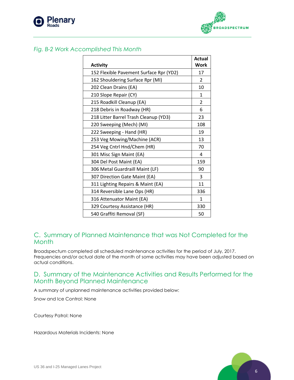



#### *Fig. B-2 Work Accomplished This Month*

| <b>Activity</b>                         | <b>Actual</b><br><b>Work</b> |
|-----------------------------------------|------------------------------|
| 152 Flexible Pavement Surface Rpr (YD2) | 17                           |
| 162 Shouldering Surface Rpr (MI)        | 2                            |
| 202 Clean Drains (EA)                   | 10                           |
| 210 Slope Repair (CY)                   | 1                            |
| 215 Roadkill Cleanup (EA)               | $\overline{2}$               |
| 218 Debris in Roadway (HR)              | 6                            |
| 218 Litter Barrel Trash Cleanup (YD3)   | 23                           |
| 220 Sweeping (Mech) (MI)                | 108                          |
| 222 Sweeping - Hand (HR)                | 19                           |
| 253 Veg Mowing/Machine (ACR)            | 13                           |
| 254 Veg Cntrl Hnd/Chem (HR)             | 70                           |
| 301 Misc Sign Maint (EA)                | 4                            |
| 304 Del Post Maint (EA)                 | 159                          |
| 306 Metal Guardraill Maint (LF)         | 90                           |
| 307 Direction Gate Maint (EA)           | 3                            |
| 311 Lighting Repairs & Maint (EA)       | 11                           |
| 314 Reversible Lane Ops (HR)            | 336                          |
| 316 Attenuator Maint (EA)               | 1                            |
| 329 Courtesy Assistance (HR)            | 330                          |
| 540 Graffiti Removal (SF)               | 50                           |

### C. Summary of Planned Maintenance that was Not Completed for the Month

Broadspectum completed all scheduled maintenance activities for the period of July, 2017. Frequencies and/or actual date of the month of some activities may have been adjusted based on actual conditions.

# D. Summary of the Maintenance Activities and Results Performed for the Month Beyond Planned Maintenance

A summary of unplanned maintenance activities provided below:

Snow and Ice Control: None

Courtesy Patrol: None

Hazardous Materials Incidents: None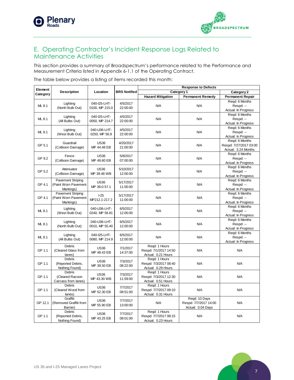



# E. Operating Contractor's Incident Response Logs Related to Maintenance Activities

This section provides a summary of Broadspectrum's performance related to the Performance and Measurement Criteria listed in Appendix 6-1.1 of the Operating Contract.

| Element  |                                                               |                                |                       | <b>Response to Defects</b>                                   |                                                             |                                                                 |  |  |  |  |  |  |
|----------|---------------------------------------------------------------|--------------------------------|-----------------------|--------------------------------------------------------------|-------------------------------------------------------------|-----------------------------------------------------------------|--|--|--|--|--|--|
|          | <b>Description</b>                                            | Location                       | <b>BRS Notified</b>   |                                                              | Category 1                                                  | Category 2                                                      |  |  |  |  |  |  |
| Category |                                                               |                                |                       | <b>Hazard Mitigation</b>                                     | <b>Permanent Remedy</b>                                     | <b>Permanent Repair</b>                                         |  |  |  |  |  |  |
| ML 8.1   | Lighting<br>(North Bulb Out)                                  | 040-125-LHT-<br>0100, MP 215.0 | 4/5/2017<br>22:00:00  | N/A                                                          | N/A                                                         | Regd: 6 Months<br>Respd: --<br>Actual: In Progress              |  |  |  |  |  |  |
| ML 8.1   | Lighting<br>(All Bulbs Out)                                   | 040-125-LHT-<br>0050, MP 214.7 | 4/5/2017<br>22:00:00  | N/A                                                          | N/A                                                         | Regd: 6 Months<br>Respd: --<br>Actual: In Progress              |  |  |  |  |  |  |
| ML 8.1   | Lighting<br>(West Bulb Out)                                   | 040-U36-LHT-<br>0250, MP 56.8  | 4/5/2017<br>22:00:00  | N/A                                                          | N/A                                                         | Regd: 6 Months<br>Respd: --<br>Actual: In Progress              |  |  |  |  |  |  |
| GP 5.1   | Guardrail<br>(Collision Damage)                               | <b>US36</b><br>MP 44.48 EB     | 4/20/2017<br>21:00:00 | N/A                                                          | N/A                                                         | Regd: 6 Months<br>Respd: 7/27/2017 03:00<br>Actual: 3.24 Months |  |  |  |  |  |  |
| GP 9.2   | Fence<br>(Collision Damage)                                   | <b>US36</b><br>MP 49.60 EB     | 5/8/2017<br>07:00:00  | N/A                                                          | N/A                                                         | Regd: 6 Months<br>Respd: --<br>Actual: In Progress              |  |  |  |  |  |  |
| GP 5.2   | Attenuator<br>(Collision Damage)                              | <b>US36</b><br>MP 39.46 WB     | 5/10/2017<br>12:00:00 | N/A                                                          | N/A                                                         | Regd: 6 Months<br>Respd: --<br>Actual: In Progress              |  |  |  |  |  |  |
| GP 4.1   | <b>Pavement Striping</b><br>(Paint Worn Pavement<br>Markings) | <b>US36</b><br>MP 39.0-57.1    | 5/17/2017<br>11:00:00 | N/A                                                          | N/A                                                         | Regd: 6 Months<br>Respd: --<br>Actual: In Progress              |  |  |  |  |  |  |
| GP 4.1   | <b>Pavement Striping</b><br>(Paint Worn Pavement<br>Markings) | $-25$<br>MP212.1-217.2         | 5/17/2017<br>11:00:00 | N/A                                                          | N/A                                                         | Regd: 6 Months<br>Respd: --<br>Actual: In Progress              |  |  |  |  |  |  |
| ML 8.1   | Lighting<br>(West Bulb Out)                                   | 040-U36-LHT-<br>0240, MP 56.81 | 6/5/2017<br>12:00:00  | N/A                                                          | <b>N/A</b>                                                  | Regd: 6 Months<br>Respd: --<br>Actual: In Progress              |  |  |  |  |  |  |
| ML 8.1   | Lighting<br>(North Bulb Out)                                  | 040-U36-LHT-<br>0010, MP 55.40 | 6/5/2017<br>12:00:00  | N/A                                                          | N/A                                                         | Regd: 6 Months<br>Respd: --<br>Actual: In Progress              |  |  |  |  |  |  |
| ML 8.1   | Lighting<br>(All Bulbs Out)                                   | 040-I25-LHT-<br>0080, MP 214.9 | 6/5/2017<br>12:00:00  | N/A                                                          | N/A                                                         | Reqd: 6 Months<br>Respd: --<br>Actual: In Progress              |  |  |  |  |  |  |
| GP 1.1   | <b>Debris</b><br>(Cleared Glass from<br>lanes)                | <b>US36</b><br>MP 48.43 EB     | 7/1/2017<br>14:37:00  | Regd: 1 Hours<br>Respd: 7/1/2017 14:50<br>Actual: 0.21 Hours | N/A                                                         | N/A                                                             |  |  |  |  |  |  |
| GP 1.1   | <b>Debris</b><br>(Reported Debris,<br>Nothing Found)          | <b>US36</b><br>MP 39.50 EB     | 7/3/2017<br>08:22:00  | Regd: 1 Hours<br>Respd: 7/3/2017 08:40<br>Actual: 0.29 Hours | N/A                                                         | N/A                                                             |  |  |  |  |  |  |
| GP 1.1   | Debris<br>(Cleared Racoon<br>Carcass from lanes)              | <b>US36</b><br>MP 43.30 WB     | 7/3/2017<br>11:59:00  | Regd: 1 Hours<br>Respd: 7/3/2017 12:30<br>Actual: 0.51 Hours | N/A                                                         | N/A                                                             |  |  |  |  |  |  |
| GP 1.1   | <b>Debris</b><br>(Cleared Wood from<br>lanes)                 | <b>US36</b><br>MP 52.30 EB     | 7/7/2017<br>08:51:00  | Regd: 1 Hours<br>Respd: 7/7/2017 09:10<br>Actual: 0.31 Hours | N/A                                                         | N/A                                                             |  |  |  |  |  |  |
| GP 12.1  | Graffiti<br>(Removed Graffiti from<br>Barrier)                | <b>US36</b><br>MP 55.90 EB     | 7/7/2017<br>13:00:00  | N/A                                                          | Regd: 10 Days<br>Respd: 7/7/2017 14:00<br>Actual: 0.04 Days | N/A                                                             |  |  |  |  |  |  |
| GP 1.1   | <b>Debris</b><br>(Reported Debris,<br>Nothing Found)          | <b>US36</b><br>MP 43.25 EB     | 7/7/2017<br>08:01:00  | Reqd: 1 Hours<br>Respd: 7/7/2017 08:15<br>Actual: 0.23 Hours | N/A                                                         | N/A                                                             |  |  |  |  |  |  |

The table below provides a listing of items recorded this month: